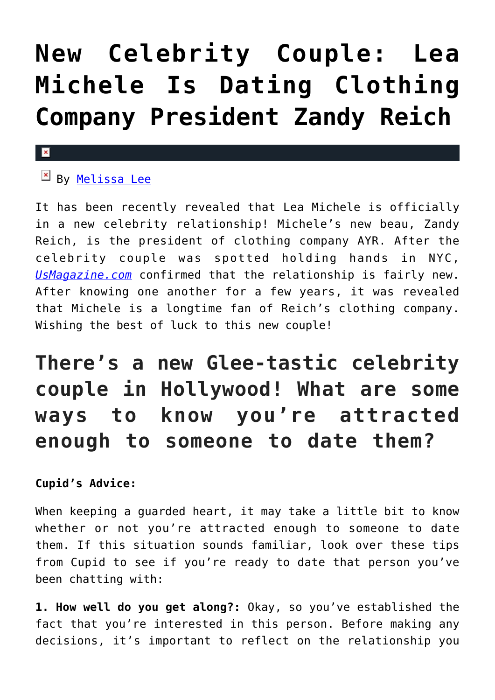## **[New Celebrity Couple: Lea](https://cupidspulse.com/119850/new-celebrity-couple-lea-michele-dating-zandy-reich/) [Michele Is Dating Clothing](https://cupidspulse.com/119850/new-celebrity-couple-lea-michele-dating-zandy-reich/) [Company President Zandy Reich](https://cupidspulse.com/119850/new-celebrity-couple-lea-michele-dating-zandy-reich/)**

## $\mathbf x$

 $\mathbb{F}$  By [Melissa Lee](http://cupidspulse.com/118747/melissa-lee/)

It has been recently revealed that Lea Michele is officially in a new celebrity relationship! Michele's new beau, Zandy Reich, is the president of clothing company AYR. After the celebrity couple was spotted holding hands in NYC, *[UsMagazine.com](http://www.usmagazine.com/celebrity-news/news/lea-michele-is-dating-zandy-reich-details-w493272)* confirmed that the relationship is fairly new. After knowing one another for a few years, it was revealed that Michele is a longtime fan of Reich's clothing company. Wishing the best of luck to this new couple!

## **There's a new Glee-tastic celebrity couple in Hollywood! What are some ways to know you're attracted enough to someone to date them?**

## **Cupid's Advice:**

When keeping a guarded heart, it may take a little bit to know whether or not you're attracted enough to someone to date them. If this situation sounds familiar, look over these tips from Cupid to see if you're ready to date that person you've been chatting with:

**1. How well do you get along?:** Okay, so you've established the fact that you're interested in this person. Before making any decisions, it's important to reflect on the relationship you